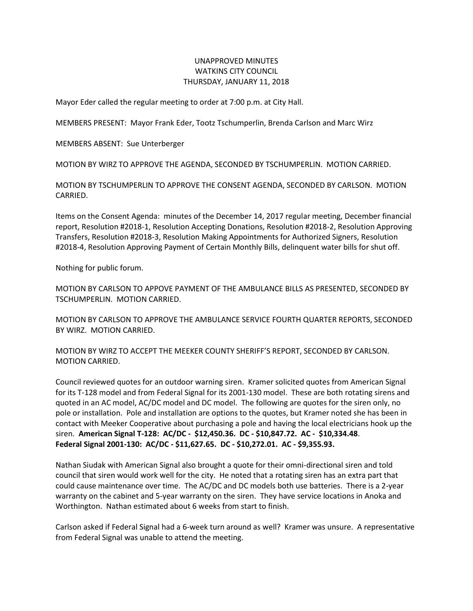## UNAPPROVED MINUTES WATKINS CITY COUNCIL THURSDAY, JANUARY 11, 2018

Mayor Eder called the regular meeting to order at 7:00 p.m. at City Hall.

MEMBERS PRESENT: Mayor Frank Eder, Tootz Tschumperlin, Brenda Carlson and Marc Wirz

MEMBERS ABSENT: Sue Unterberger

MOTION BY WIRZ TO APPROVE THE AGENDA, SECONDED BY TSCHUMPERLIN. MOTION CARRIED.

MOTION BY TSCHUMPERLIN TO APPROVE THE CONSENT AGENDA, SECONDED BY CARLSON. MOTION CARRIED.

Items on the Consent Agenda: minutes of the December 14, 2017 regular meeting, December financial report, Resolution #2018-1, Resolution Accepting Donations, Resolution #2018-2, Resolution Approving Transfers, Resolution #2018-3, Resolution Making Appointments for Authorized Signers, Resolution #2018-4, Resolution Approving Payment of Certain Monthly Bills, delinquent water bills for shut off.

Nothing for public forum.

MOTION BY CARLSON TO APPOVE PAYMENT OF THE AMBULANCE BILLS AS PRESENTED, SECONDED BY TSCHUMPERLIN. MOTION CARRIED.

MOTION BY CARLSON TO APPROVE THE AMBULANCE SERVICE FOURTH QUARTER REPORTS, SECONDED BY WIRZ. MOTION CARRIED.

MOTION BY WIRZ TO ACCEPT THE MEEKER COUNTY SHERIFF'S REPORT, SECONDED BY CARLSON. MOTION CARRIED.

Council reviewed quotes for an outdoor warning siren. Kramer solicited quotes from American Signal for its T-128 model and from Federal Signal for its 2001-130 model. These are both rotating sirens and quoted in an AC model, AC/DC model and DC model. The following are quotes for the siren only, no pole or installation. Pole and installation are options to the quotes, but Kramer noted she has been in contact with Meeker Cooperative about purchasing a pole and having the local electricians hook up the siren. **American Signal T-128: AC/DC - \$12,450.36. DC - \$10,847.72. AC - \$10,334.48**. **Federal Signal 2001-130: AC/DC - \$11,627.65. DC - \$10,272.01. AC - \$9,355.93.**

Nathan Siudak with American Signal also brought a quote for their omni-directional siren and told council that siren would work well for the city. He noted that a rotating siren has an extra part that could cause maintenance over time. The AC/DC and DC models both use batteries. There is a 2-year warranty on the cabinet and 5-year warranty on the siren. They have service locations in Anoka and Worthington. Nathan estimated about 6 weeks from start to finish.

Carlson asked if Federal Signal had a 6-week turn around as well? Kramer was unsure. A representative from Federal Signal was unable to attend the meeting.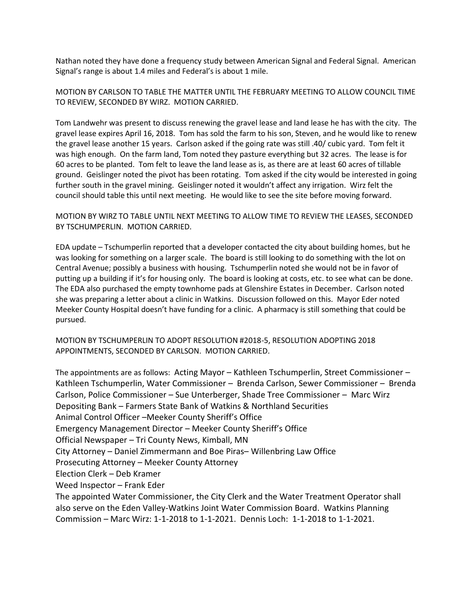Nathan noted they have done a frequency study between American Signal and Federal Signal. American Signal's range is about 1.4 miles and Federal's is about 1 mile.

MOTION BY CARLSON TO TABLE THE MATTER UNTIL THE FEBRUARY MEETING TO ALLOW COUNCIL TIME TO REVIEW, SECONDED BY WIRZ. MOTION CARRIED.

Tom Landwehr was present to discuss renewing the gravel lease and land lease he has with the city. The gravel lease expires April 16, 2018. Tom has sold the farm to his son, Steven, and he would like to renew the gravel lease another 15 years. Carlson asked if the going rate was still .40/ cubic yard. Tom felt it was high enough. On the farm land, Tom noted they pasture everything but 32 acres. The lease is for 60 acres to be planted. Tom felt to leave the land lease as is, as there are at least 60 acres of tillable ground. Geislinger noted the pivot has been rotating. Tom asked if the city would be interested in going further south in the gravel mining. Geislinger noted it wouldn't affect any irrigation. Wirz felt the council should table this until next meeting. He would like to see the site before moving forward.

MOTION BY WIRZ TO TABLE UNTIL NEXT MEETING TO ALLOW TIME TO REVIEW THE LEASES, SECONDED BY TSCHUMPERLIN. MOTION CARRIED.

EDA update – Tschumperlin reported that a developer contacted the city about building homes, but he was looking for something on a larger scale. The board is still looking to do something with the lot on Central Avenue; possibly a business with housing. Tschumperlin noted she would not be in favor of putting up a building if it's for housing only. The board is looking at costs, etc. to see what can be done. The EDA also purchased the empty townhome pads at Glenshire Estates in December. Carlson noted she was preparing a letter about a clinic in Watkins. Discussion followed on this. Mayor Eder noted Meeker County Hospital doesn't have funding for a clinic. A pharmacy is still something that could be pursued.

MOTION BY TSCHUMPERLIN TO ADOPT RESOLUTION #2018-5, RESOLUTION ADOPTING 2018 APPOINTMENTS, SECONDED BY CARLSON. MOTION CARRIED.

The appointments are as follows: Acting Mayor – Kathleen Tschumperlin, Street Commissioner – Kathleen Tschumperlin, Water Commissioner – Brenda Carlson, Sewer Commissioner – Brenda Carlson, Police Commissioner – Sue Unterberger, Shade Tree Commissioner – Marc Wirz Depositing Bank – Farmers State Bank of Watkins & Northland Securities Animal Control Officer –Meeker County Sheriff's Office Emergency Management Director – Meeker County Sheriff's Office Official Newspaper – Tri County News, Kimball, MN City Attorney – Daniel Zimmermann and Boe Piras– Willenbring Law Office Prosecuting Attorney – Meeker County Attorney Election Clerk – Deb Kramer Weed Inspector – Frank Eder The appointed Water Commissioner, the City Clerk and the Water Treatment Operator shall also serve on the Eden Valley-Watkins Joint Water Commission Board. Watkins Planning Commission – Marc Wirz: 1-1-2018 to 1-1-2021. Dennis Loch: 1-1-2018 to 1-1-2021.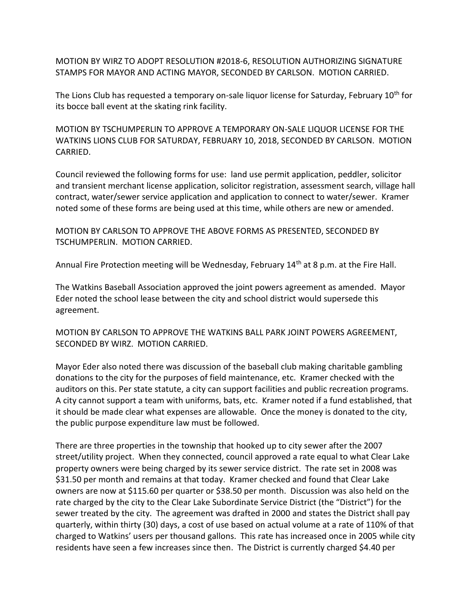MOTION BY WIRZ TO ADOPT RESOLUTION #2018-6, RESOLUTION AUTHORIZING SIGNATURE STAMPS FOR MAYOR AND ACTING MAYOR, SECONDED BY CARLSON. MOTION CARRIED.

The Lions Club has requested a temporary on-sale liquor license for Saturday, February 10<sup>th</sup> for its bocce ball event at the skating rink facility.

MOTION BY TSCHUMPERLIN TO APPROVE A TEMPORARY ON-SALE LIQUOR LICENSE FOR THE WATKINS LIONS CLUB FOR SATURDAY, FEBRUARY 10, 2018, SECONDED BY CARLSON. MOTION CARRIED.

Council reviewed the following forms for use: land use permit application, peddler, solicitor and transient merchant license application, solicitor registration, assessment search, village hall contract, water/sewer service application and application to connect to water/sewer. Kramer noted some of these forms are being used at this time, while others are new or amended.

MOTION BY CARLSON TO APPROVE THE ABOVE FORMS AS PRESENTED, SECONDED BY TSCHUMPERLIN. MOTION CARRIED.

Annual Fire Protection meeting will be Wednesday, February  $14<sup>th</sup>$  at 8 p.m. at the Fire Hall.

The Watkins Baseball Association approved the joint powers agreement as amended. Mayor Eder noted the school lease between the city and school district would supersede this agreement.

MOTION BY CARLSON TO APPROVE THE WATKINS BALL PARK JOINT POWERS AGREEMENT, SECONDED BY WIRZ. MOTION CARRIED.

Mayor Eder also noted there was discussion of the baseball club making charitable gambling donations to the city for the purposes of field maintenance, etc. Kramer checked with the auditors on this. Per state statute, a city can support facilities and public recreation programs. A city cannot support a team with uniforms, bats, etc. Kramer noted if a fund established, that it should be made clear what expenses are allowable. Once the money is donated to the city, the public purpose expenditure law must be followed.

There are three properties in the township that hooked up to city sewer after the 2007 street/utility project. When they connected, council approved a rate equal to what Clear Lake property owners were being charged by its sewer service district. The rate set in 2008 was \$31.50 per month and remains at that today. Kramer checked and found that Clear Lake owners are now at \$115.60 per quarter or \$38.50 per month. Discussion was also held on the rate charged by the city to the Clear Lake Subordinate Service District (the "District") for the sewer treated by the city. The agreement was drafted in 2000 and states the District shall pay quarterly, within thirty (30) days, a cost of use based on actual volume at a rate of 110% of that charged to Watkins' users per thousand gallons. This rate has increased once in 2005 while city residents have seen a few increases since then. The District is currently charged \$4.40 per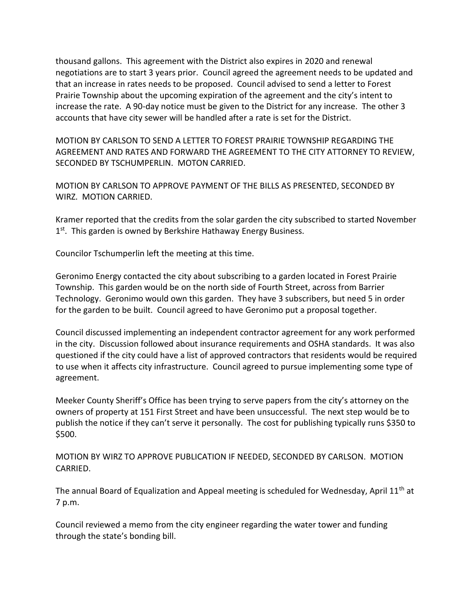thousand gallons. This agreement with the District also expires in 2020 and renewal negotiations are to start 3 years prior. Council agreed the agreement needs to be updated and that an increase in rates needs to be proposed. Council advised to send a letter to Forest Prairie Township about the upcoming expiration of the agreement and the city's intent to increase the rate. A 90-day notice must be given to the District for any increase. The other 3 accounts that have city sewer will be handled after a rate is set for the District.

MOTION BY CARLSON TO SEND A LETTER TO FOREST PRAIRIE TOWNSHIP REGARDING THE AGREEMENT AND RATES AND FORWARD THE AGREEMENT TO THE CITY ATTORNEY TO REVIEW, SECONDED BY TSCHUMPERLIN. MOTON CARRIED.

MOTION BY CARLSON TO APPROVE PAYMENT OF THE BILLS AS PRESENTED, SECONDED BY WIRZ. MOTION CARRIED.

Kramer reported that the credits from the solar garden the city subscribed to started November 1<sup>st</sup>. This garden is owned by Berkshire Hathaway Energy Business.

Councilor Tschumperlin left the meeting at this time.

Geronimo Energy contacted the city about subscribing to a garden located in Forest Prairie Township. This garden would be on the north side of Fourth Street, across from Barrier Technology. Geronimo would own this garden. They have 3 subscribers, but need 5 in order for the garden to be built. Council agreed to have Geronimo put a proposal together.

Council discussed implementing an independent contractor agreement for any work performed in the city. Discussion followed about insurance requirements and OSHA standards. It was also questioned if the city could have a list of approved contractors that residents would be required to use when it affects city infrastructure. Council agreed to pursue implementing some type of agreement.

Meeker County Sheriff's Office has been trying to serve papers from the city's attorney on the owners of property at 151 First Street and have been unsuccessful. The next step would be to publish the notice if they can't serve it personally. The cost for publishing typically runs \$350 to \$500.

MOTION BY WIRZ TO APPROVE PUBLICATION IF NEEDED, SECONDED BY CARLSON. MOTION CARRIED.

The annual Board of Equalization and Appeal meeting is scheduled for Wednesday, April 11<sup>th</sup> at 7 p.m.

Council reviewed a memo from the city engineer regarding the water tower and funding through the state's bonding bill.